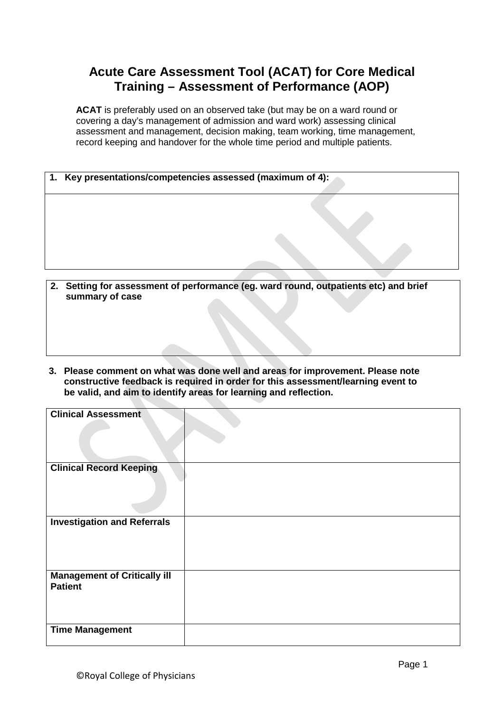## **Acute Care Assessment Tool (ACAT) for Core Medical Training – Assessment of Performance (AOP)**

**ACAT** is preferably used on an observed take (but may be on a ward round or covering a day's management of admission and ward work) assessing clinical assessment and management, decision making, team working, time management, record keeping and handover for the whole time period and multiple patients.

| 1. Key presentations/competencies assessed (maximum of 4): |  |
|------------------------------------------------------------|--|
|                                                            |  |
|                                                            |  |
|                                                            |  |
|                                                            |  |
|                                                            |  |
|                                                            |  |

- **2. Setting for assessment of performance (eg. ward round, outpatients etc) and brief summary of case**
- **3. Please comment on what was done well and areas for improvement. Please note constructive feedback is required in order for this assessment/learning event to be valid, and aim to identify areas for learning and reflection.**

| <b>Clinical Assessment</b>                            |  |
|-------------------------------------------------------|--|
|                                                       |  |
| <b>Clinical Record Keeping</b>                        |  |
| <b>Investigation and Referrals</b>                    |  |
| <b>Management of Critically ill</b><br><b>Patient</b> |  |
| <b>Time Management</b>                                |  |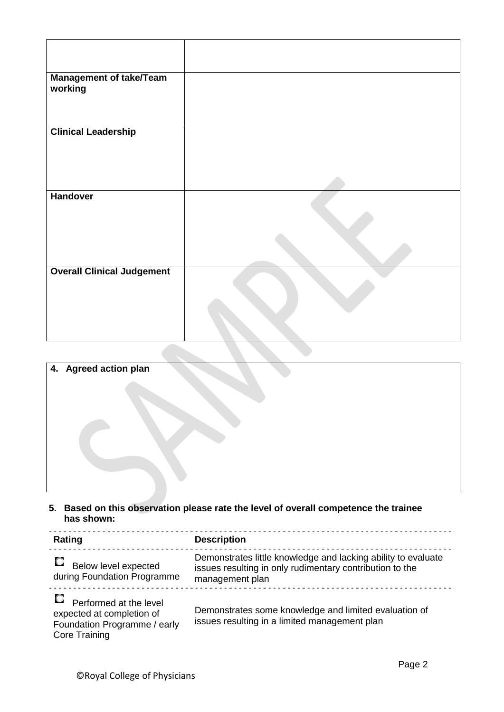| <b>Management of take/Team</b><br>working |  |
|-------------------------------------------|--|
| <b>Clinical Leadership</b>                |  |
|                                           |  |
|                                           |  |
|                                           |  |
|                                           |  |
| <b>Handover</b>                           |  |
|                                           |  |
|                                           |  |
|                                           |  |
| <b>Overall Clinical Judgement</b>         |  |
|                                           |  |
|                                           |  |
|                                           |  |
|                                           |  |
|                                           |  |
|                                           |  |

| 4. Agreed action plan |  |
|-----------------------|--|
|                       |  |
|                       |  |
|                       |  |
|                       |  |
|                       |  |
|                       |  |
|                       |  |
|                       |  |
|                       |  |

**5. Based on this observation please rate the level of overall competence the trainee has shown:** 

| Rating                                                                                                      | <b>Description</b>                                                                                                                           |
|-------------------------------------------------------------------------------------------------------------|----------------------------------------------------------------------------------------------------------------------------------------------|
| C.<br>Below level expected<br>during Foundation Programme                                                   | Demonstrates little knowledge and lacking ability to evaluate<br>issues resulting in only rudimentary contribution to the<br>management plan |
| Performed at the level<br>expected at completion of<br>Foundation Programme / early<br><b>Core Training</b> | Demonstrates some knowledge and limited evaluation of<br>issues resulting in a limited management plan                                       |